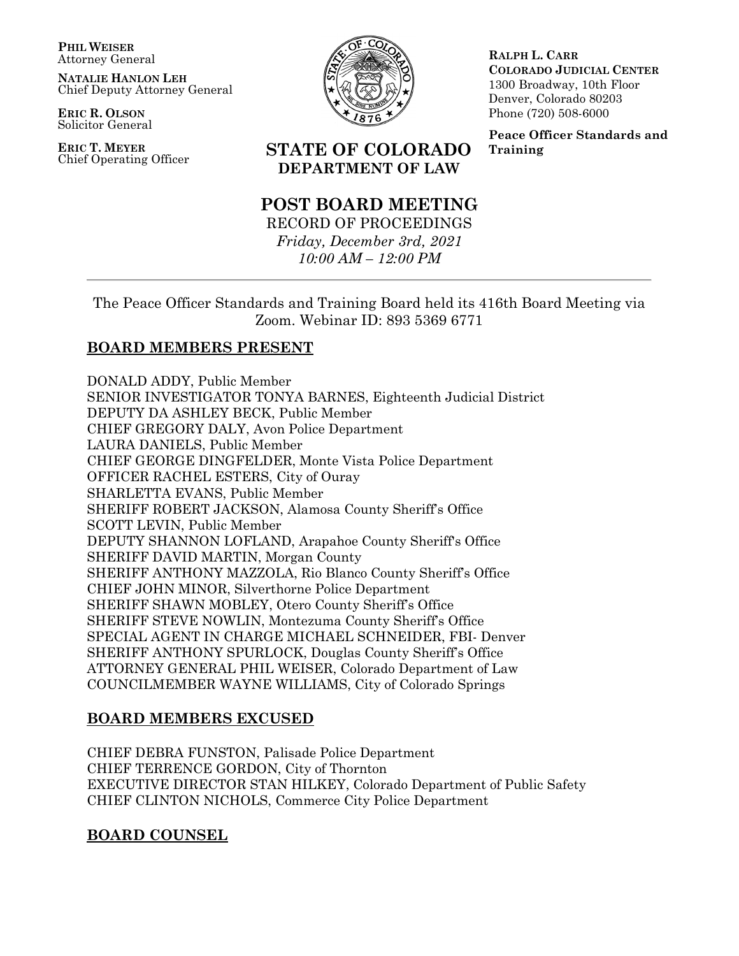**PHIL WEISER** Attorney General

**NATALIE HANLON LEH** Chief Deputy Attorney General

**ERIC R. OLSON** Solicitor General

**ERIC T. MEYER**



**RALPH L. CARR COLORADO JUDICIAL CENTER** 1300 Broadway, 10th Floor Denver, Colorado 80203 Phone (720) 508-6000

**Peace Officer Standards and Training**

# Chief Operating Officer **STATE OF COLORADO DEPARTMENT OF LAW**

# **POST BOARD MEETING**

RECORD OF PROCEEDINGS *Friday, December 3rd, 2021 10:00 AM – 12:00 PM*

The Peace Officer Standards and Training Board held its 416th Board Meeting via Zoom. Webinar ID: 893 5369 6771

# **BOARD MEMBERS PRESENT**

DONALD ADDY, Public Member SENIOR INVESTIGATOR TONYA BARNES, Eighteenth Judicial District DEPUTY DA ASHLEY BECK, Public Member CHIEF GREGORY DALY, Avon Police Department LAURA DANIELS, Public Member CHIEF GEORGE DINGFELDER, Monte Vista Police Department OFFICER RACHEL ESTERS, City of Ouray SHARLETTA EVANS, Public Member SHERIFF ROBERT JACKSON, Alamosa County Sheriff's Office SCOTT LEVIN, Public Member DEPUTY SHANNON LOFLAND, Arapahoe County Sheriff's Office SHERIFF DAVID MARTIN, Morgan County SHERIFF ANTHONY MAZZOLA, Rio Blanco County Sheriff's Office CHIEF JOHN MINOR, Silverthorne Police Department SHERIFF SHAWN MOBLEY, Otero County Sheriff's Office SHERIFF STEVE NOWLIN, Montezuma County Sheriff's Office SPECIAL AGENT IN CHARGE MICHAEL SCHNEIDER, FBI- Denver SHERIFF ANTHONY SPURLOCK, Douglas County Sheriff's Office ATTORNEY GENERAL PHIL WEISER, Colorado Department of Law COUNCILMEMBER WAYNE WILLIAMS, City of Colorado Springs

# **BOARD MEMBERS EXCUSED**

CHIEF DEBRA FUNSTON, Palisade Police Department CHIEF TERRENCE GORDON, City of Thornton EXECUTIVE DIRECTOR STAN HILKEY, Colorado Department of Public Safety CHIEF CLINTON NICHOLS, Commerce City Police Department

# **BOARD COUNSEL**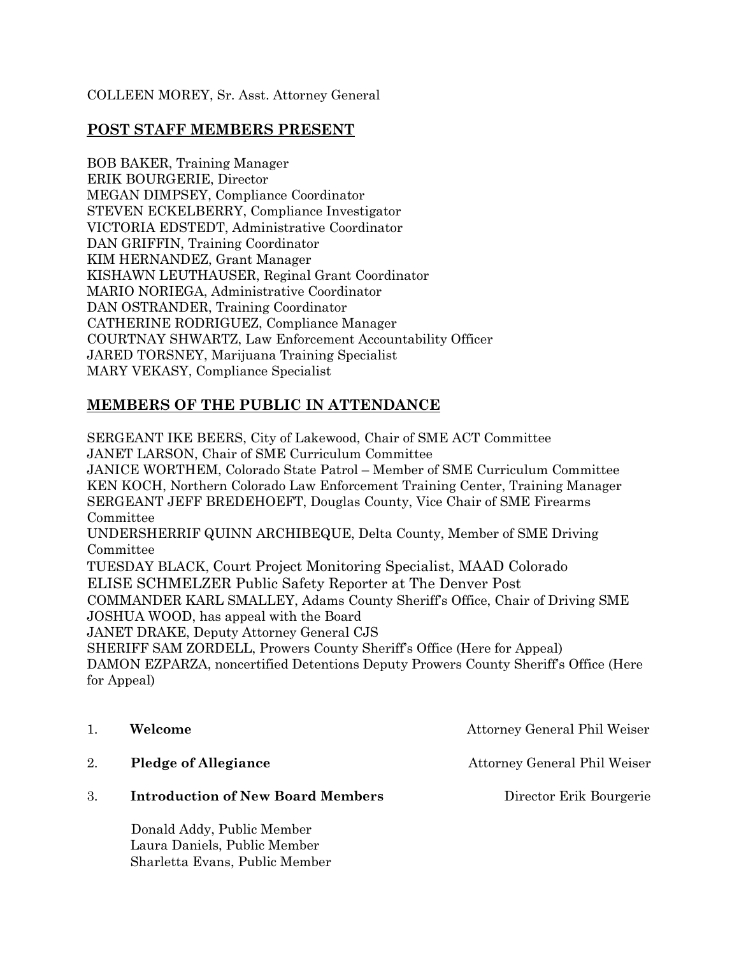### COLLEEN MOREY, Sr. Asst. Attorney General

## **POST STAFF MEMBERS PRESENT**

BOB BAKER, Training Manager ERIK BOURGERIE, Director MEGAN DIMPSEY, Compliance Coordinator STEVEN ECKELBERRY, Compliance Investigator VICTORIA EDSTEDT, Administrative Coordinator DAN GRIFFIN, Training Coordinator KIM HERNANDEZ, Grant Manager KISHAWN LEUTHAUSER, Reginal Grant Coordinator MARIO NORIEGA, Administrative Coordinator DAN OSTRANDER, Training Coordinator CATHERINE RODRIGUEZ, Compliance Manager COURTNAY SHWARTZ, Law Enforcement Accountability Officer JARED TORSNEY, Marijuana Training Specialist MARY VEKASY, Compliance Specialist

# **MEMBERS OF THE PUBLIC IN ATTENDANCE**

SERGEANT IKE BEERS, City of Lakewood, Chair of SME ACT Committee JANET LARSON, Chair of SME Curriculum Committee JANICE WORTHEM, Colorado State Patrol – Member of SME Curriculum Committee KEN KOCH, Northern Colorado Law Enforcement Training Center, Training Manager SERGEANT JEFF BREDEHOEFT, Douglas County, Vice Chair of SME Firearms Committee UNDERSHERRIF QUINN ARCHIBEQUE, Delta County, Member of SME Driving Committee TUESDAY BLACK, Court Project Monitoring Specialist, MAAD Colorado ELISE SCHMELZER Public Safety Reporter at The Denver Post COMMANDER KARL SMALLEY, Adams County Sheriff's Office, Chair of Driving SME JOSHUA WOOD, has appeal with the Board JANET DRAKE, Deputy Attorney General CJS SHERIFF SAM ZORDELL, Prowers County Sheriff's Office (Here for Appeal) DAMON EZPARZA, noncertified Detentions Deputy Prowers County Sheriff's Office (Here for Appeal)

- 
- 2. **Pledge of Allegiance** Attorney General Phil Weiser
- 3. **Introduction of New Board Members** Director Erik Bourgerie

 Donald Addy, Public Member Laura Daniels, Public Member Sharletta Evans, Public Member

1. **Welcome Attorney General Phil Weiser Attorney General Phil Weiser**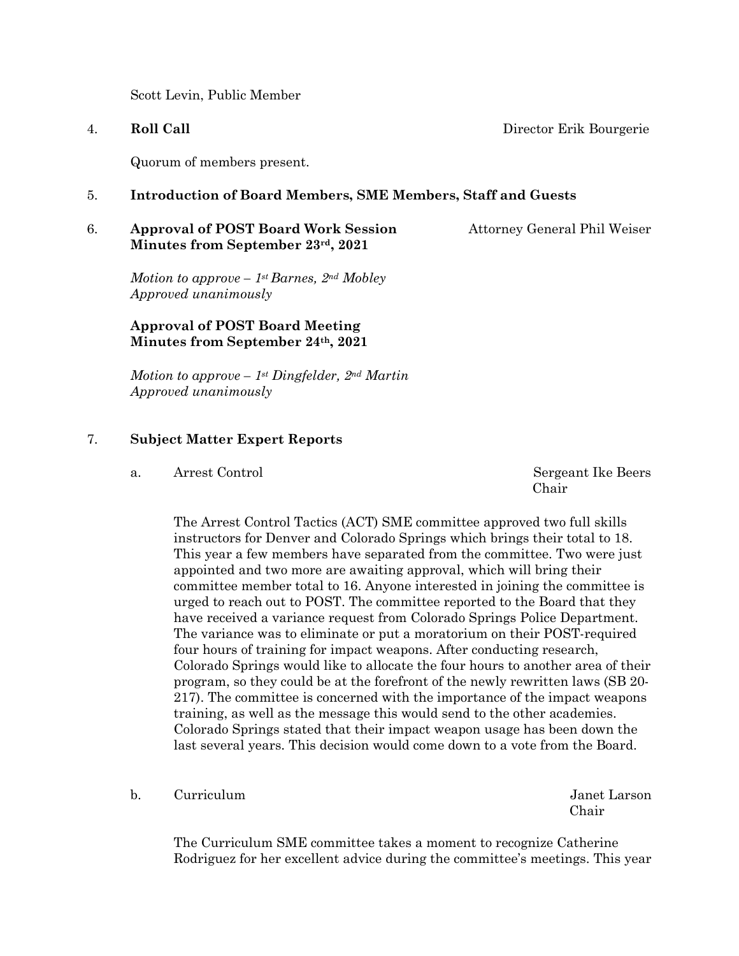Scott Levin, Public Member

#### 4. **Roll Call** Director Erik Bourgerie

Quorum of members present.

### 5. **Introduction of Board Members, SME Members, Staff and Guests**

#### 6. **Approval of POST Board Work Session** Attorney General Phil Weiser **Minutes from September 23rd, 2021**

*Motion to approve – 1st Barnes, 2nd Mobley Approved unanimously*

### **Approval of POST Board Meeting Minutes from September 24th, 2021**

*Motion to approve – 1st Dingfelder, 2nd Martin Approved unanimously*

#### 7. **Subject Matter Expert Reports**

a. Arrest ControlSergeant Ike Beers

**Chair** Chair

The Arrest Control Tactics (ACT) SME committee approved two full skills instructors for Denver and Colorado Springs which brings their total to 18. This year a few members have separated from the committee. Two were just appointed and two more are awaiting approval, which will bring their committee member total to 16. Anyone interested in joining the committee is urged to reach out to POST. The committee reported to the Board that they have received a variance request from Colorado Springs Police Department. The variance was to eliminate or put a moratorium on their POST-required four hours of training for impact weapons. After conducting research, Colorado Springs would like to allocate the four hours to another area of their program, so they could be at the forefront of the newly rewritten laws (SB 20- 217). The committee is concerned with the importance of the impact weapons training, as well as the message this would send to the other academies. Colorado Springs stated that their impact weapon usage has been down the last several years. This decision would come down to a vote from the Board.

b. Curriculum Janet Larson

Chair

The Curriculum SME committee takes a moment to recognize Catherine Rodriguez for her excellent advice during the committee's meetings. This year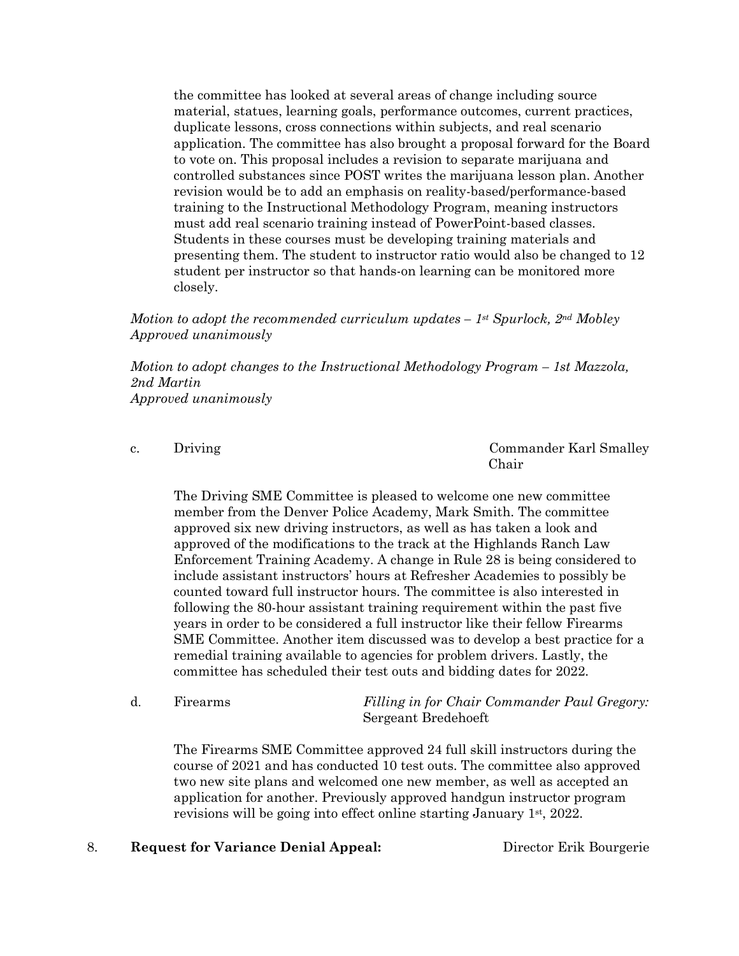the committee has looked at several areas of change including source material, statues, learning goals, performance outcomes, current practices, duplicate lessons, cross connections within subjects, and real scenario application. The committee has also brought a proposal forward for the Board to vote on. This proposal includes a revision to separate marijuana and controlled substances since POST writes the marijuana lesson plan. Another revision would be to add an emphasis on reality-based/performance-based training to the Instructional Methodology Program, meaning instructors must add real scenario training instead of PowerPoint-based classes. Students in these courses must be developing training materials and presenting them. The student to instructor ratio would also be changed to 12 student per instructor so that hands-on learning can be monitored more closely.

*Motion to adopt the recommended curriculum updates – 1st Spurlock, 2nd Mobley Approved unanimously*

*Motion to adopt changes to the Instructional Methodology Program – 1st Mazzola, 2nd Martin Approved unanimously*

c. Driving Commander Karl Smalley **Chair** Chair

The Driving SME Committee is pleased to welcome one new committee member from the Denver Police Academy, Mark Smith. The committee approved six new driving instructors, as well as has taken a look and approved of the modifications to the track at the Highlands Ranch Law Enforcement Training Academy. A change in Rule 28 is being considered to include assistant instructors' hours at Refresher Academies to possibly be counted toward full instructor hours. The committee is also interested in following the 80-hour assistant training requirement within the past five years in order to be considered a full instructor like their fellow Firearms SME Committee. Another item discussed was to develop a best practice for a remedial training available to agencies for problem drivers. Lastly, the committee has scheduled their test outs and bidding dates for 2022.

d. Firearms *Filling in for Chair Commander Paul Gregory:* Sergeant Bredehoeft

The Firearms SME Committee approved 24 full skill instructors during the course of 2021 and has conducted 10 test outs. The committee also approved two new site plans and welcomed one new member, as well as accepted an application for another. Previously approved handgun instructor program revisions will be going into effect online starting January 1st, 2022.

#### 8. **Request for Variance Denial Appeal:** Director Erik Bourgerie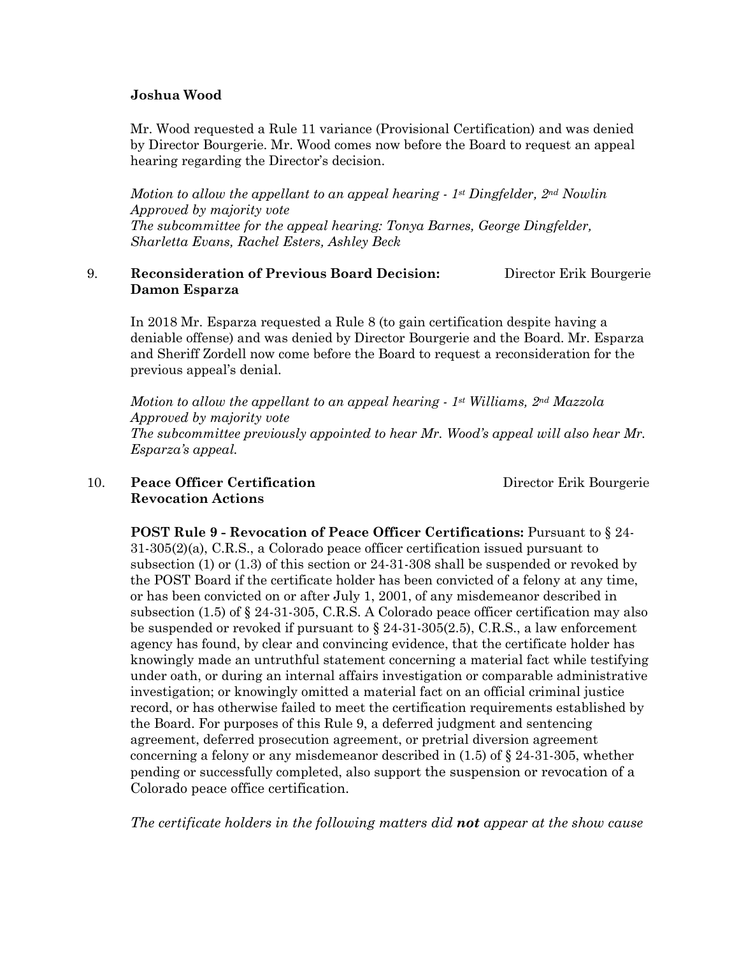#### **Joshua Wood**

Mr. Wood requested a Rule 11 variance (Provisional Certification) and was denied by Director Bourgerie. Mr. Wood comes now before the Board to request an appeal hearing regarding the Director's decision.

*Motion to allow the appellant to an appeal hearing - 1st Dingfelder, 2nd Nowlin Approved by majority vote The subcommittee for the appeal hearing: Tonya Barnes, George Dingfelder, Sharletta Evans, Rachel Esters, Ashley Beck*

#### 9. **Reconsideration of Previous Board Decision:** Director Erik Bourgerie **Damon Esparza**

In 2018 Mr. Esparza requested a Rule 8 (to gain certification despite having a deniable offense) and was denied by Director Bourgerie and the Board. Mr. Esparza and Sheriff Zordell now come before the Board to request a reconsideration for the previous appeal's denial.

*Motion to allow the appellant to an appeal hearing - 1st Williams, 2nd Mazzola Approved by majority vote The subcommittee previously appointed to hear Mr. Wood's appeal will also hear Mr. Esparza's appeal.*

#### 10. **Peace Officer Certification** Director Erik Bourgerie  **Revocation Actions**

**POST Rule 9 - Revocation of Peace Officer Certifications:** Pursuant to § 24- 31-305(2)(a), C.R.S., a Colorado peace officer certification issued pursuant to subsection (1) or (1.3) of this section or 24-31-308 shall be suspended or revoked by the POST Board if the certificate holder has been convicted of a felony at any time, or has been convicted on or after July 1, 2001, of any misdemeanor described in subsection (1.5) of § 24-31-305, C.R.S. A Colorado peace officer certification may also be suspended or revoked if pursuant to  $\S 24-31-305(2.5)$ , C.R.S., a law enforcement agency has found, by clear and convincing evidence, that the certificate holder has knowingly made an untruthful statement concerning a material fact while testifying under oath, or during an internal affairs investigation or comparable administrative investigation; or knowingly omitted a material fact on an official criminal justice record, or has otherwise failed to meet the certification requirements established by the Board. For purposes of this Rule 9, a deferred judgment and sentencing agreement, deferred prosecution agreement, or pretrial diversion agreement concerning a felony or any misdemeanor described in (1.5) of § 24-31-305, whether pending or successfully completed, also support the suspension or revocation of a Colorado peace office certification.

*The certificate holders in the following matters did not appear at the show cause*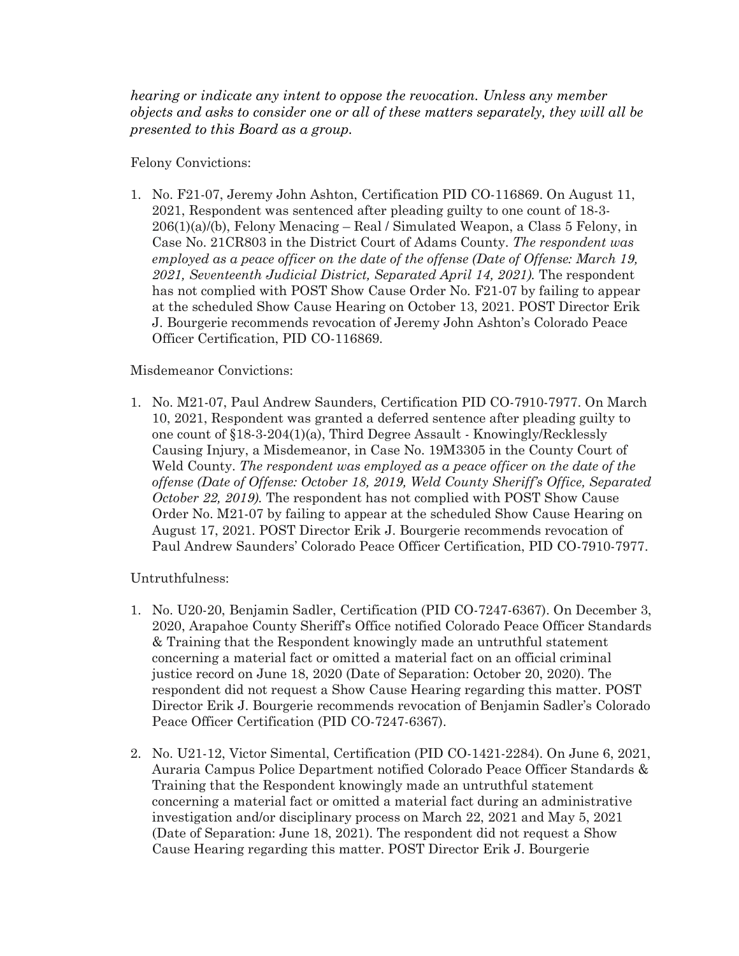*hearing or indicate any intent to oppose the revocation. Unless any member objects and asks to consider one or all of these matters separately, they will all be presented to this Board as a group.*

Felony Convictions:

1. No. F21-07, Jeremy John Ashton, Certification PID CO-116869. On August 11, 2021, Respondent was sentenced after pleading guilty to one count of 18-3-  $206(1)(a)/(b)$ , Felony Menacing – Real / Simulated Weapon, a Class 5 Felony, in Case No. 21CR803 in the District Court of Adams County. *The respondent was employed as a peace officer on the date of the offense (Date of Offense: March 19, 2021, Seventeenth Judicial District, Separated April 14, 2021).* The respondent has not complied with POST Show Cause Order No. F21-07 by failing to appear at the scheduled Show Cause Hearing on October 13, 2021. POST Director Erik J. Bourgerie recommends revocation of Jeremy John Ashton's Colorado Peace Officer Certification, PID CO-116869.

#### Misdemeanor Convictions:

1. No. M21-07, Paul Andrew Saunders, Certification PID CO-7910-7977. On March 10, 2021, Respondent was granted a deferred sentence after pleading guilty to one count of §18-3-204(1)(a), Third Degree Assault - Knowingly/Recklessly Causing Injury, a Misdemeanor, in Case No. 19M3305 in the County Court of Weld County. *The respondent was employed as a peace officer on the date of the offense (Date of Offense: October 18, 2019, Weld County Sheriff's Office, Separated October 22, 2019).* The respondent has not complied with POST Show Cause Order No. M21-07 by failing to appear at the scheduled Show Cause Hearing on August 17, 2021. POST Director Erik J. Bourgerie recommends revocation of Paul Andrew Saunders' Colorado Peace Officer Certification, PID CO-7910-7977.

Untruthfulness:

- 1. No. U20-20, Benjamin Sadler, Certification (PID CO-7247-6367). On December 3, 2020, Arapahoe County Sheriff's Office notified Colorado Peace Officer Standards & Training that the Respondent knowingly made an untruthful statement concerning a material fact or omitted a material fact on an official criminal justice record on June 18, 2020 (Date of Separation: October 20, 2020). The respondent did not request a Show Cause Hearing regarding this matter. POST Director Erik J. Bourgerie recommends revocation of Benjamin Sadler's Colorado Peace Officer Certification (PID CO-7247-6367).
- 2. No. U21-12, Victor Simental, Certification (PID CO-1421-2284). On June 6, 2021, Auraria Campus Police Department notified Colorado Peace Officer Standards & Training that the Respondent knowingly made an untruthful statement concerning a material fact or omitted a material fact during an administrative investigation and/or disciplinary process on March 22, 2021 and May 5, 2021 (Date of Separation: June 18, 2021). The respondent did not request a Show Cause Hearing regarding this matter. POST Director Erik J. Bourgerie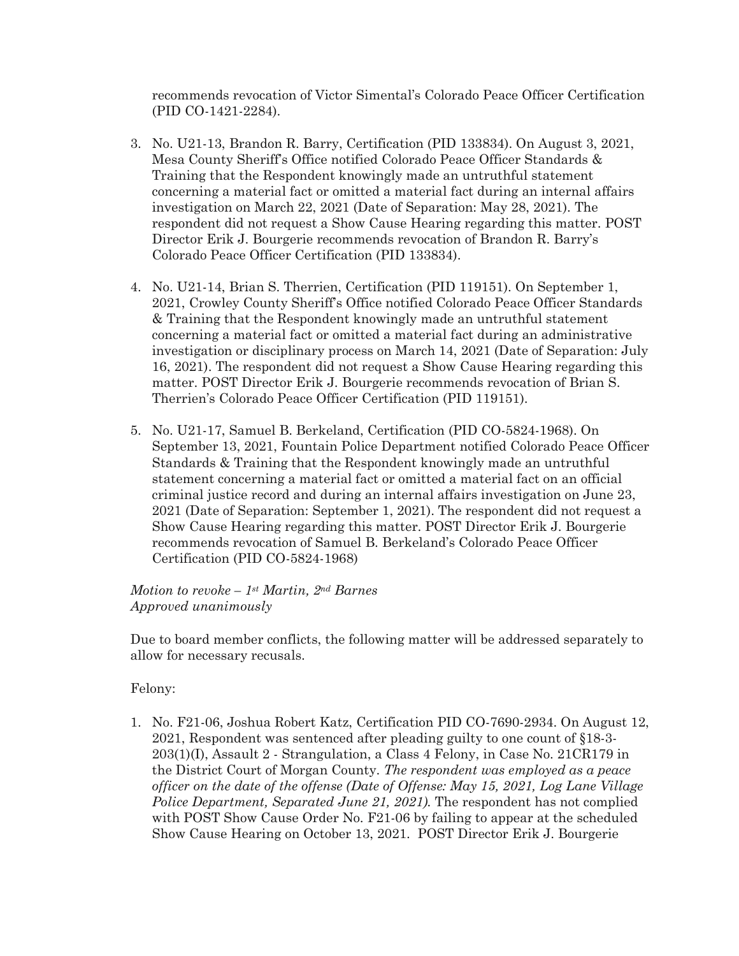recommends revocation of Victor Simental's Colorado Peace Officer Certification (PID CO-1421-2284).

- 3. No. U21-13, Brandon R. Barry, Certification (PID 133834). On August 3, 2021, Mesa County Sheriff's Office notified Colorado Peace Officer Standards & Training that the Respondent knowingly made an untruthful statement concerning a material fact or omitted a material fact during an internal affairs investigation on March 22, 2021 (Date of Separation: May 28, 2021). The respondent did not request a Show Cause Hearing regarding this matter. POST Director Erik J. Bourgerie recommends revocation of Brandon R. Barry's Colorado Peace Officer Certification (PID 133834).
- 4. No. U21-14, Brian S. Therrien, Certification (PID 119151). On September 1, 2021, Crowley County Sheriff's Office notified Colorado Peace Officer Standards & Training that the Respondent knowingly made an untruthful statement concerning a material fact or omitted a material fact during an administrative investigation or disciplinary process on March 14, 2021 (Date of Separation: July 16, 2021). The respondent did not request a Show Cause Hearing regarding this matter. POST Director Erik J. Bourgerie recommends revocation of Brian S. Therrien's Colorado Peace Officer Certification (PID 119151).
- 5. No. U21-17, Samuel B. Berkeland, Certification (PID CO-5824-1968). On September 13, 2021, Fountain Police Department notified Colorado Peace Officer Standards & Training that the Respondent knowingly made an untruthful statement concerning a material fact or omitted a material fact on an official criminal justice record and during an internal affairs investigation on June 23, 2021 (Date of Separation: September 1, 2021). The respondent did not request a Show Cause Hearing regarding this matter. POST Director Erik J. Bourgerie recommends revocation of Samuel B. Berkeland's Colorado Peace Officer Certification (PID CO-5824-1968)

*Motion to revoke – 1st Martin, 2nd Barnes Approved unanimously* 

Due to board member conflicts, the following matter will be addressed separately to allow for necessary recusals.

Felony:

1. No. F21-06, Joshua Robert Katz, Certification PID CO-7690-2934. On August 12, 2021, Respondent was sentenced after pleading guilty to one count of §18-3-  $203(1)(I)$ , Assault 2 - Strangulation, a Class 4 Felony, in Case No.  $21CR179$  in the District Court of Morgan County. *The respondent was employed as a peace officer on the date of the offense (Date of Offense: May 15, 2021, Log Lane Village Police Department, Separated June 21, 2021).* The respondent has not complied with POST Show Cause Order No. F21-06 by failing to appear at the scheduled Show Cause Hearing on October 13, 2021. POST Director Erik J. Bourgerie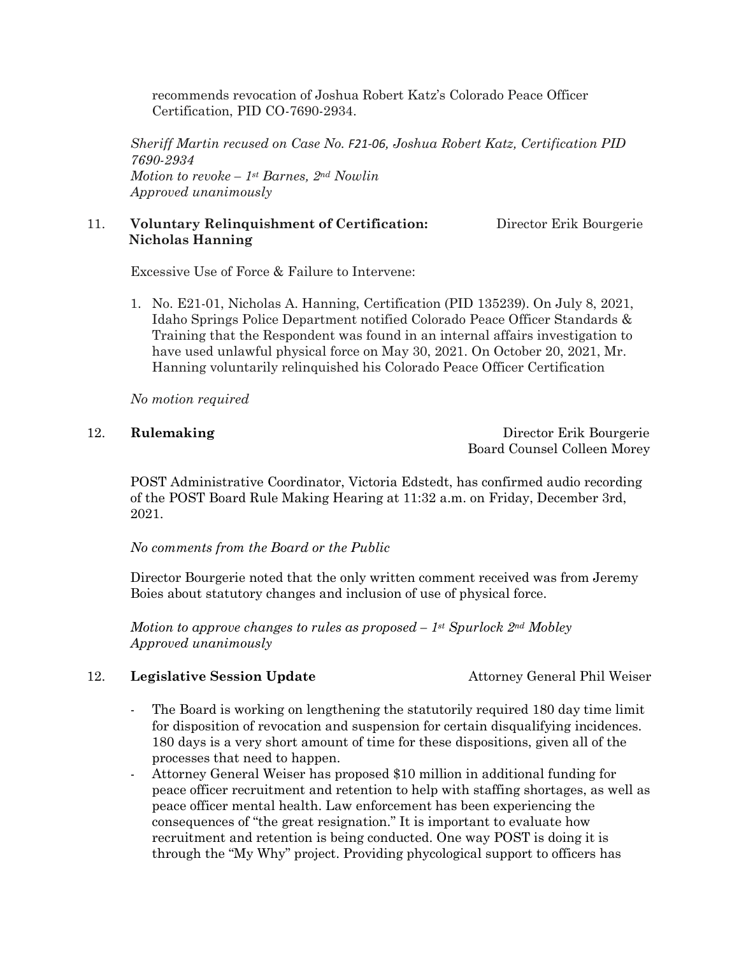recommends revocation of Joshua Robert Katz's Colorado Peace Officer Certification, PID CO-7690-2934.

*Sheriff Martin recused on Case No. F21-06, Joshua Robert Katz, Certification PID 7690-2934 Motion to revoke – 1st Barnes, 2nd Nowlin Approved unanimously*

### 11. **Voluntary Relinquishment of Certification:** Director Erik Bourgerie  **Nicholas Hanning**

Excessive Use of Force & Failure to Intervene:

1. No. E21-01, Nicholas A. Hanning, Certification (PID 135239). On July 8, 2021, Idaho Springs Police Department notified Colorado Peace Officer Standards & Training that the Respondent was found in an internal affairs investigation to have used unlawful physical force on May 30, 2021. On October 20, 2021, Mr. Hanning voluntarily relinquished his Colorado Peace Officer Certification

*No motion required*

12. **Rulemaking** Director Erik Bourgerie Board Counsel Colleen Morey

POST Administrative Coordinator, Victoria Edstedt, has confirmed audio recording of the POST Board Rule Making Hearing at 11:32 a.m. on Friday, December 3rd, 2021.

*No comments from the Board or the Public*

Director Bourgerie noted that the only written comment received was from Jeremy Boies about statutory changes and inclusion of use of physical force.

*Motion to approve changes to rules as proposed – 1st Spurlock 2nd Mobley Approved unanimously*

#### 12. **Legislative Session Update Attorney General Phil Weiser**

- The Board is working on lengthening the statutorily required 180 day time limit for disposition of revocation and suspension for certain disqualifying incidences. 180 days is a very short amount of time for these dispositions, given all of the processes that need to happen.
- Attorney General Weiser has proposed \$10 million in additional funding for peace officer recruitment and retention to help with staffing shortages, as well as peace officer mental health. Law enforcement has been experiencing the consequences of "the great resignation." It is important to evaluate how recruitment and retention is being conducted. One way POST is doing it is through the "My Why" project. Providing phycological support to officers has